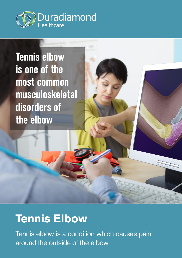

**Tennis elbow is one of the most common musculoskeletal disorders of the elbow**

# **Tennis Elbow**

Tennis elbow is a condition which causes pain around the outside of the elbow